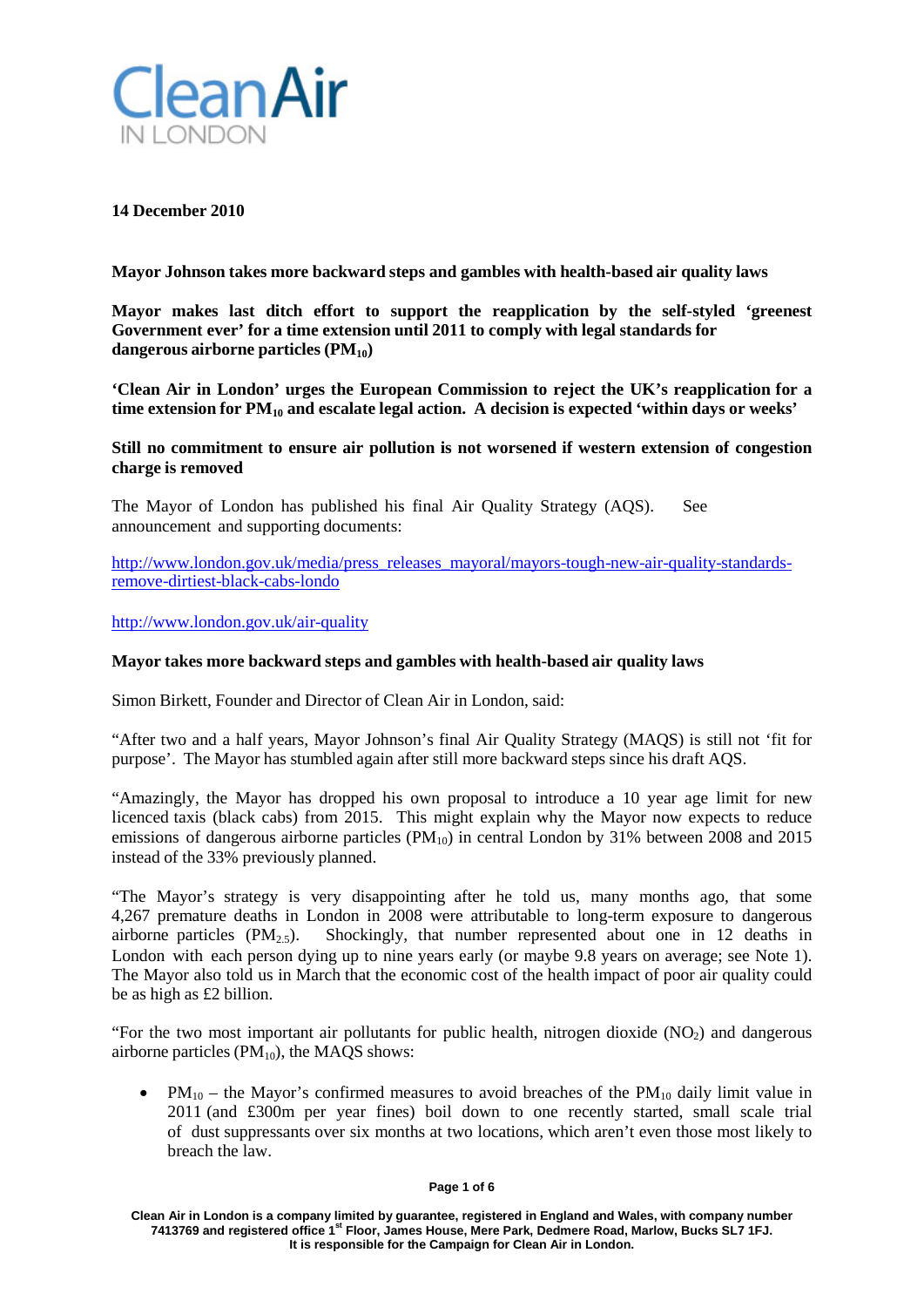

# **14 December 2010**

**Mayor Johnson takes more backward steps and gambles with health-based air quality laws**

**Mayor makes last ditch effort to support the reapplication by the self-styled 'greenest Government ever' for a time extension until 2011 to comply with legal standards for dangerous airborne particles (PM10)**

**'Clean Air in London' urges the European Commission to reject the UK's reapplication for a time extension for PM10 and escalate legal action. A decision is expected 'within days or weeks'**

**Still no commitment to ensure air pollution is not worsened if western extension of congestion charge is removed**

The Mayor of London has published his final Air Quality Strategy (AQS). See announcement and supporting documents:

[http://www.london.gov.uk/media/press\\_releases\\_mayoral/mayors-tough-new-air-quality-standards](http://www.london.gov.uk/media/press_releases_mayoral/mayors-tough-new-air-quality-standards-remove-dirtiest-black-cabs-londo)[remove-dirtiest-black-cabs-londo](http://www.london.gov.uk/media/press_releases_mayoral/mayors-tough-new-air-quality-standards-remove-dirtiest-black-cabs-londo)

<http://www.london.gov.uk/air-quality>

### **Mayor takes more backward steps and gambles with health-based air quality laws**

Simon Birkett, Founder and Director of Clean Air in London, said:

"After two and a half years, Mayor Johnson's final Air Quality Strategy (MAQS) is still not 'fit for purpose'. The Mayor has stumbled again after still more backward steps since his draft AQS.

"Amazingly, the Mayor has dropped his own proposal to introduce a 10 year age limit for new licenced taxis (black cabs) from 2015. This might explain why the Mayor now expects to reduce emissions of dangerous airborne particles  $(PM_{10})$  in central London by 31% between 2008 and 2015 instead of the 33% previously planned.

"The Mayor's strategy is very disappointing after he told us, many months ago, that some 4,267 premature deaths in London in 2008 were attributable to long-term exposure to dangerous airborne particles  $(PM_2, \varsigma)$ . Shockingly, that number represented about one in 12 deaths in London with each person dying up to nine years early (or maybe 9.8 years on average; see Note 1). The Mayor also told us in March that the economic cost of the health impact of poor air quality could be as high as £2 billion.

"For the two most important air pollutants for public health, nitrogen dioxide  $(NO<sub>2</sub>)$  and dangerous airborne particles  $(PM_{10})$ , the MAQS shows:

•  $PM_{10}$  – the Mayor's confirmed measures to avoid breaches of the  $PM_{10}$  daily limit value in 2011 (and £300m per year fines) boil down to one recently started, small scale trial of dust suppressants over six months at two locations, which aren't even those most likely to breach the law.

#### **Page 1 of 6**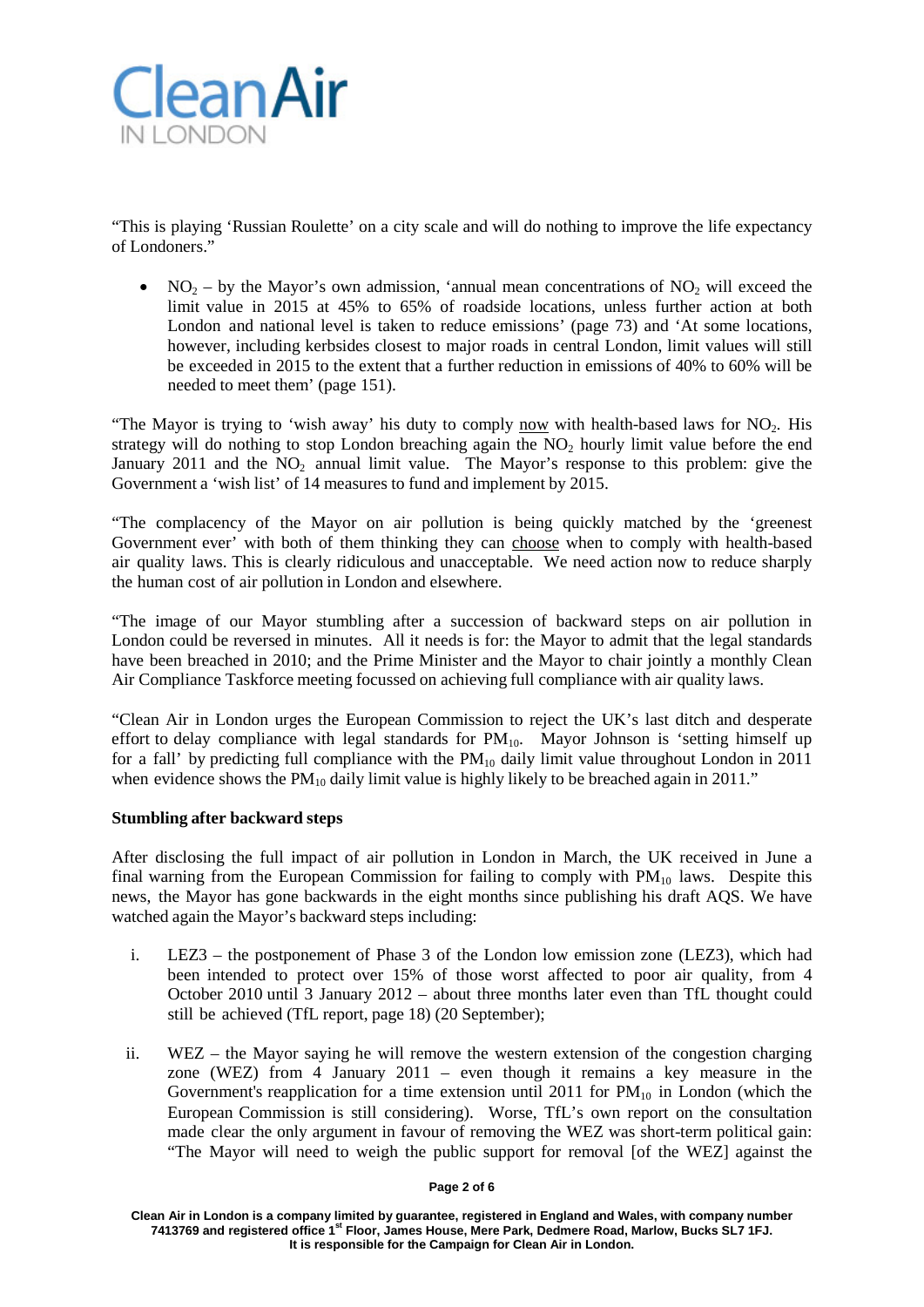

"This is playing 'Russian Roulette' on a city scale and will do nothing to improve the life expectancy of Londoners."

• NO<sub>2</sub> – by the Mayor's own admission, 'annual mean concentrations of NO<sub>2</sub> will exceed the limit value in 2015 at 45% to 65% of roadside locations, unless further action at both London and national level is taken to reduce emissions' (page 73) and 'At some locations, however, including kerbsides closest to major roads in central London, limit values will still be exceeded in 2015 to the extent that a further reduction in emissions of 40% to 60% will be needed to meet them' (page 151).

"The Mayor is trying to 'wish away' his duty to comply now with health-based laws for  $NO<sub>2</sub>$ . His strategy will do nothing to stop London breaching again the  $NO<sub>2</sub>$  hourly limit value before the end January 2011 and the  $NO<sub>2</sub>$  annual limit value. The Mayor's response to this problem: give the Government a 'wish list' of 14 measures to fund and implement by 2015.

"The complacency of the Mayor on air pollution is being quickly matched by the 'greenest Government ever' with both of them thinking they can choose when to comply with health-based air quality laws. This is clearly ridiculous and unacceptable. We need action now to reduce sharply the human cost of air pollution in London and elsewhere.

"The image of our Mayor stumbling after a succession of backward steps on air pollution in London could be reversed in minutes. All it needs is for: the Mayor to admit that the legal standards have been breached in 2010; and the Prime Minister and the Mayor to chair jointly a monthly Clean Air Compliance Taskforce meeting focussed on achieving full compliance with air quality laws.

"Clean Air in London urges the European Commission to reject the UK's last ditch and desperate effort to delay compliance with legal standards for  $PM_{10}$ . Mayor Johnson is 'setting himself up for a fall' by predicting full compliance with the  $PM_{10}$  daily limit value throughout London in 2011 when evidence shows the  $PM_{10}$  daily limit value is highly likely to be breached again in 2011."

# **Stumbling after backward steps**

After disclosing the full impact of air pollution in London in March, the UK received in June a final warning from the European Commission for failing to comply with  $PM_{10}$  laws. Despite this news, the Mayor has gone backwards in the eight months since publishing his draft AQS. We have watched again the Mayor's backward steps including:

- i. LEZ3 the postponement of Phase 3 of the London low emission zone (LEZ3), which had been intended to protect over 15% of those worst affected to poor air quality, from 4 October 2010 until 3 January 2012 – about three months later even than TfL thought could still be achieved (TfL report, page 18) (20 September);
- ii. WEZ the Mayor saying he will remove the western extension of the congestion charging zone (WEZ) from 4 January 2011 – even though it remains a key measure in the Government's reapplication for a time extension until 2011 for  $PM_{10}$  in London (which the European Commission is still considering). Worse, TfL's own report on the consultation made clear the only argument in favour of removing the WEZ was short-term political gain: "The Mayor will need to weigh the public support for removal [of the WEZ] against the

#### **Page 2 of 6**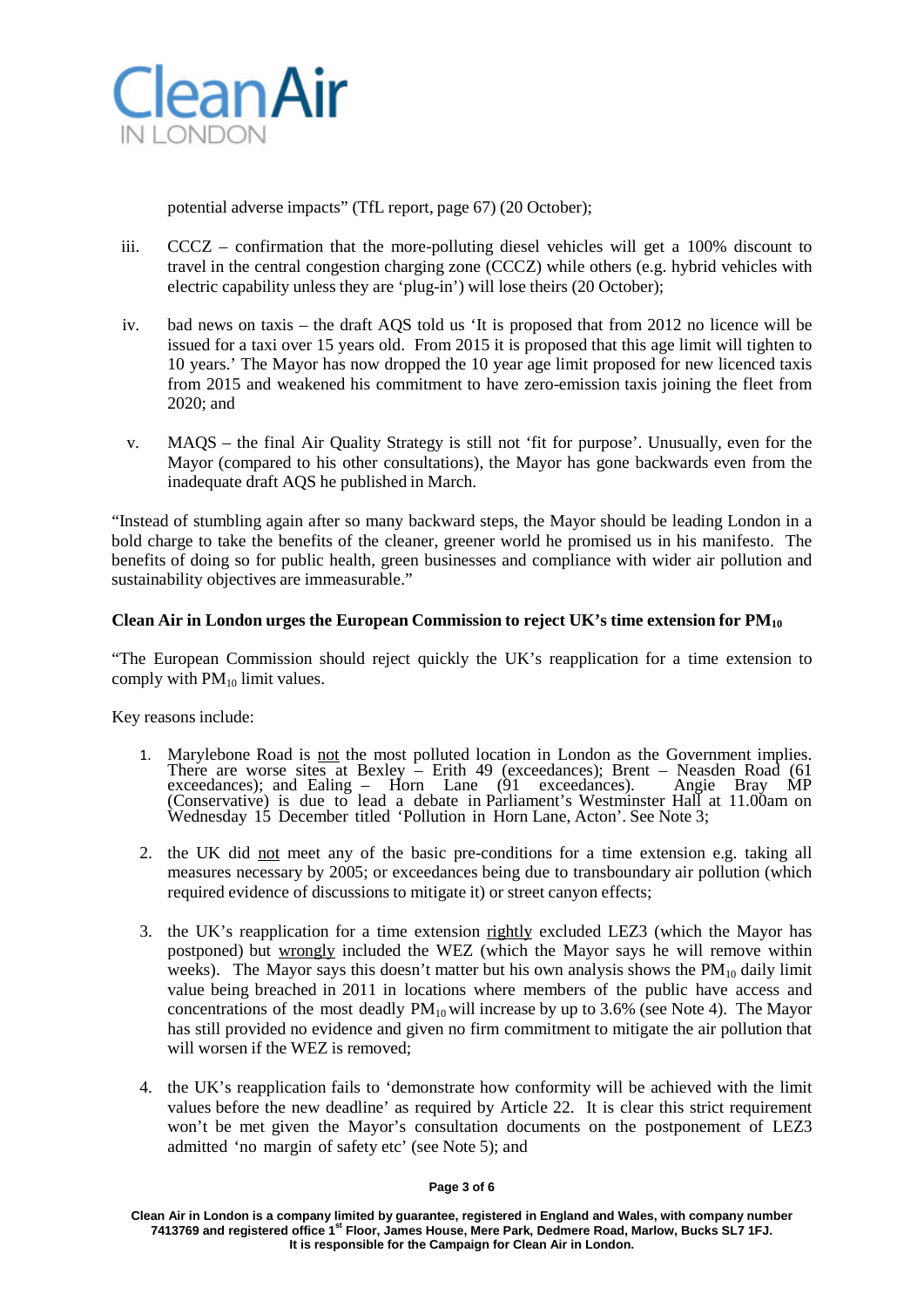

potential adverse impacts" (TfL report, page 67) (20 October);

- iii. CCCZ confirmation that the more-polluting diesel vehicles will get a 100% discount to travel in the central congestion charging zone (CCCZ) while others (e.g. hybrid vehicles with electric capability unless they are 'plug-in') will lose theirs (20 October);
- iv. bad news on taxis the draft AQS told us 'It is proposed that from 2012 no licence will be issued for a taxi over 15 years old. From 2015 it is proposed that this age limit will tighten to 10 years.' The Mayor has now dropped the 10 year age limit proposed for new licenced taxis from 2015 and weakened his commitment to have zero-emission taxis joining the fleet from 2020; and
- v. MAQS the final Air Quality Strategy is still not 'fit for purpose'. Unusually, even for the Mayor (compared to his other consultations), the Mayor has gone backwards even from the inadequate draft AQS he published in March.

"Instead of stumbling again after so many backward steps, the Mayor should be leading London in a bold charge to take the benefits of the cleaner, greener world he promised us in his manifesto. The benefits of doing so for public health, green businesses and compliance with wider air pollution and sustainability objectives are immeasurable."

# **Clean Air in London urges the European Commission to reject UK's time extension for PM10**

"The European Commission should reject quickly the UK's reapplication for a time extension to comply with  $PM_{10}$  limit values.

Key reasons include:

- 1. Marylebone Road is not the most polluted location in London as the Government implies. There are worse sites at Bexley – Erith 49 (exceedances); Brent – Neasden Road (61 exceedances); and Ealing – Horn Lane (91 exceedances). Angie Bray MP (Conservative) is due to lead a debate in Parliament's Westminster Hall at 11.00am on Wednesday 15 December titled 'Pollution in Horn Lane, Acton'. See Note 3;
- 2. the UK did not meet any of the basic pre-conditions for a time extension e.g. taking all measures necessary by 2005; or exceedances being due to transboundary air pollution (which required evidence of discussions to mitigate it) or street canyon effects;
- 3. the UK's reapplication for a time extension rightly excluded LEZ3 (which the Mayor has postponed) but wrongly included the WEZ (which the Mayor says he will remove within weeks). The Mayor says this doesn't matter but his own analysis shows the  $PM_{10}$  daily limit value being breached in 2011 in locations where members of the public have access and concentrations of the most deadly  $PM_{10}$  will increase by up to 3.6% (see Note 4). The Mayor has still provided no evidence and given no firm commitment to mitigate the air pollution that will worsen if the WEZ is removed;
- 4. the UK's reapplication fails to 'demonstrate how conformity will be achieved with the limit values before the new deadline' as required by Article 22. It is clear this strict requirement won't be met given the Mayor's consultation documents on the postponement of LEZ3 admitted 'no margin of safety etc' (see Note 5); and

#### **Page 3 of 6**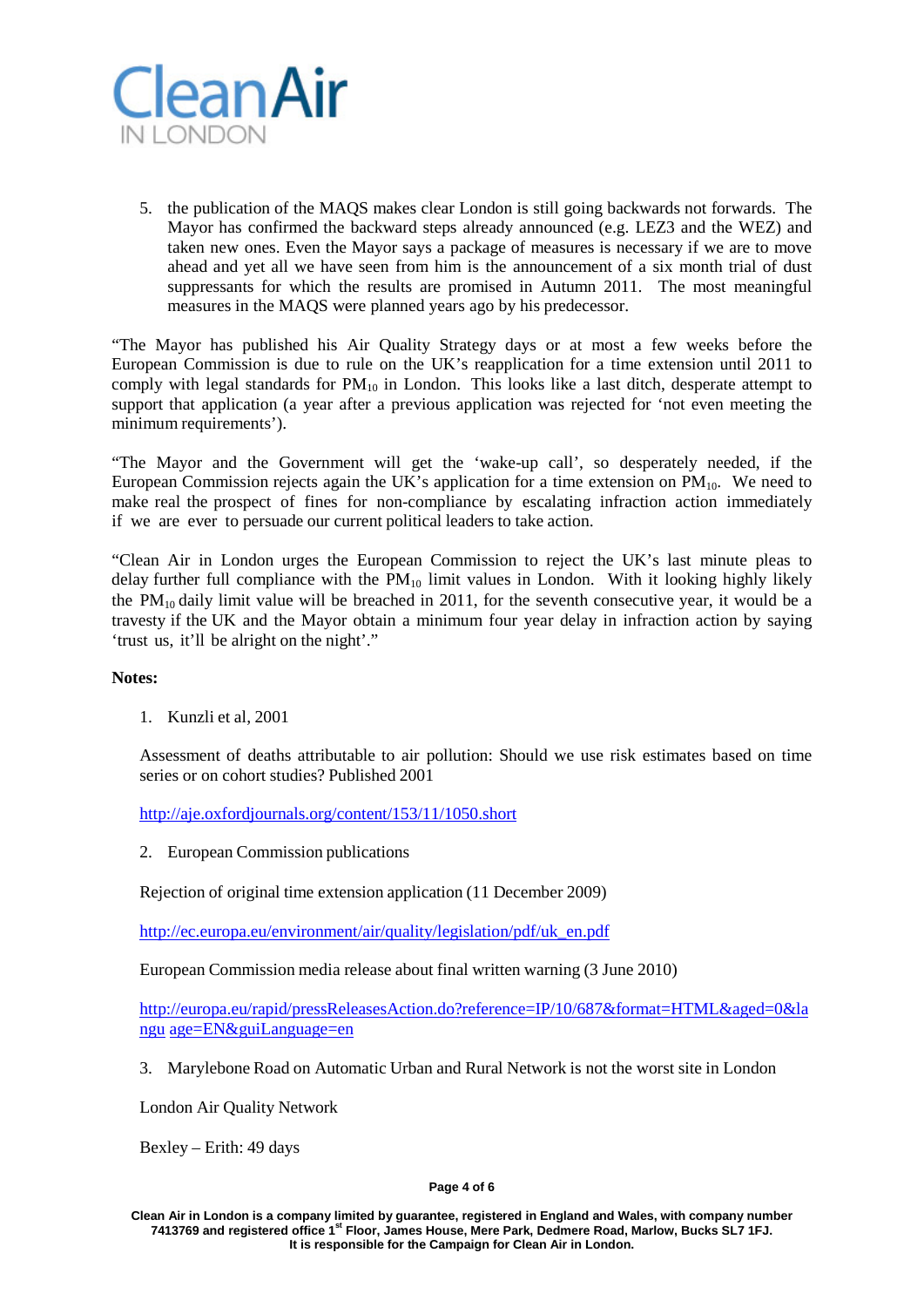

5. the publication of the MAQS makes clear London is still going backwards not forwards. The Mayor has confirmed the backward steps already announced (e.g. LEZ3 and the WEZ) and taken new ones. Even the Mayor says a package of measures is necessary if we are to move ahead and yet all we have seen from him is the announcement of a six month trial of dust suppressants for which the results are promised in Autumn 2011. The most meaningful measures in the MAQS were planned years ago by his predecessor.

"The Mayor has published his Air Quality Strategy days or at most a few weeks before the European Commission is due to rule on the UK's reapplication for a time extension until 2011 to comply with legal standards for  $PM_{10}$  in London. This looks like a last ditch, desperate attempt to support that application (a year after a previous application was rejected for 'not even meeting the minimum requirements').

"The Mayor and the Government will get the 'wake-up call', so desperately needed, if the European Commission rejects again the UK's application for a time extension on  $PM_{10}$ . We need to make real the prospect of fines for non-compliance by escalating infraction action immediately if we are ever to persuade our current political leaders to take action.

"Clean Air in London urges the European Commission to reject the UK's last minute pleas to delay further full compliance with the  $PM_{10}$  limit values in London. With it looking highly likely the  $PM_{10}$  daily limit value will be breached in 2011, for the seventh consecutive year, it would be a travesty if the UK and the Mayor obtain a minimum four year delay in infraction action by saying 'trust us, it'll be alright on the night'."

# **Notes:**

1. Kunzli et al, 2001

Assessment of deaths attributable to air pollution: Should we use risk estimates based on time series or on cohort studies? Published 2001

<http://aje.oxfordjournals.org/content/153/11/1050.short>

2. European Commission publications

Rejection of original time extension application (11 December 2009)

[http://ec.europa.eu/environment/air/quality/legislation/pdf/uk\\_en.pdf](http://ec.europa.eu/environment/air/quality/legislation/pdf/uk_en.pdf)

European Commission media release about final written warning (3 June 2010)

[http://europa.eu/rapid/pressReleasesAction.do?reference=IP/10/687&format=HTML&aged=0&la](http://europa.eu/rapid/pressReleasesAction.do?reference=IP/10/687&format=HTML&aged=0&langu) [ngu](http://europa.eu/rapid/pressReleasesAction.do?reference=IP/10/687&format=HTML&aged=0&langu) age=EN&guiLanguage=en

3. Marylebone Road on Automatic Urban and Rural Network is not the worst site in London

London Air Quality Network

Bexley – Erith: 49 days

#### **Page 4 of 6**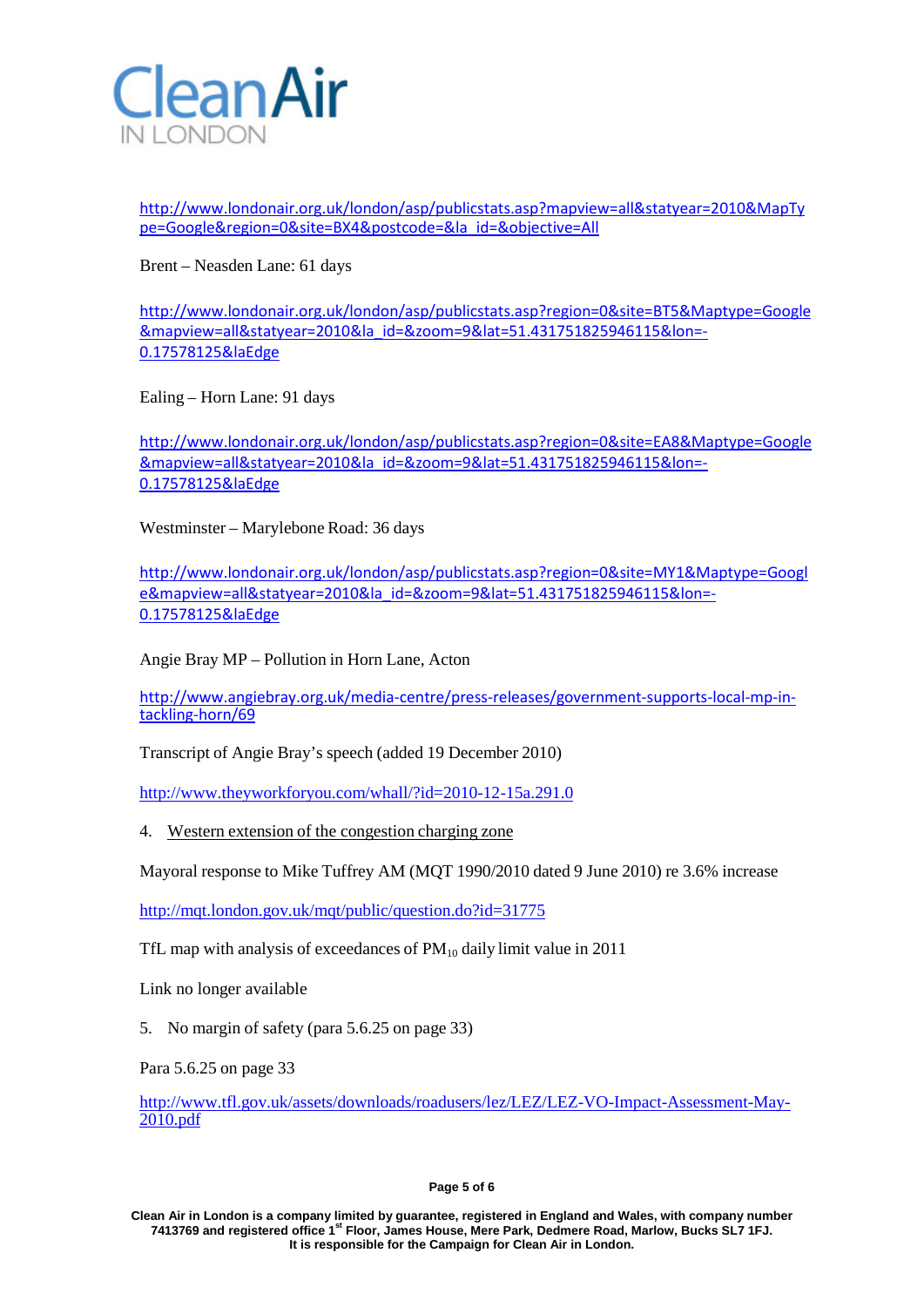

[http://www.londonair.org.uk/london/asp/publicstats.asp?mapview=all&statyear=2010&MapTy](http://www.londonair.org.uk/london/asp/publicstats.asp?mapview=all&statyear=2010&MapType=Google®ion=0&site=BX4&postcode=&la_id=&objective=All) [pe=Google&region=0&site=BX4&postcode=&la\\_id=&objective=All](http://www.londonair.org.uk/london/asp/publicstats.asp?mapview=all&statyear=2010&MapType=Google®ion=0&site=BX4&postcode=&la_id=&objective=All)

Brent – Neasden Lane: 61 days

[http://www.londonair.org.uk/london/asp/publicstats.asp?region=0&site=BT5&Maptype=Google](http://www.londonair.org.uk/london/asp/publicstats.asp?region=0&site=BT5&Maptype=Google&mapview=all&statyear=2010&la_id=&zoom=9&lat=51.431751825946115&lon=-0.17578125&laEdge) [&mapview=all&statyear=2010&la\\_id=&zoom=9&lat=51.431751825946115&lon=-](http://www.londonair.org.uk/london/asp/publicstats.asp?region=0&site=BT5&Maptype=Google&mapview=all&statyear=2010&la_id=&zoom=9&lat=51.431751825946115&lon=-0.17578125&laEdge) [0.17578125&laEdge](http://www.londonair.org.uk/london/asp/publicstats.asp?region=0&site=BT5&Maptype=Google&mapview=all&statyear=2010&la_id=&zoom=9&lat=51.431751825946115&lon=-0.17578125&laEdge)

Ealing – Horn Lane: 91 days

[http://www.londonair.org.uk/london/asp/publicstats.asp?region=0&site=EA8&Maptype=Google](http://www.londonair.org.uk/london/asp/publicstats.asp?region=0&site=EA8&Maptype=Google&mapview=all&statyear=2010&la_id=&zoom=9&lat=51.431751825946115&lon=-0.17578125&laEdge) [&mapview=all&statyear=2010&la\\_id=&zoom=9&lat=51.431751825946115&lon=-](http://www.londonair.org.uk/london/asp/publicstats.asp?region=0&site=EA8&Maptype=Google&mapview=all&statyear=2010&la_id=&zoom=9&lat=51.431751825946115&lon=-0.17578125&laEdge) [0.17578125&laEdge](http://www.londonair.org.uk/london/asp/publicstats.asp?region=0&site=EA8&Maptype=Google&mapview=all&statyear=2010&la_id=&zoom=9&lat=51.431751825946115&lon=-0.17578125&laEdge)

Westminster – Marylebone Road: 36 days

[http://www.londonair.org.uk/london/asp/publicstats.asp?region=0&site=MY1&Maptype=Googl](http://www.londonair.org.uk/london/asp/publicstats.asp?region=0&site=MY1&Maptype=Google&mapview=all&statyear=2010&la_id=&zoom=9&lat=51.431751825946115&lon=-0.17578125&laEdge) [e&mapview=all&statyear=2010&la\\_id=&zoom=9&lat=51.431751825946115&lon=-](http://www.londonair.org.uk/london/asp/publicstats.asp?region=0&site=MY1&Maptype=Google&mapview=all&statyear=2010&la_id=&zoom=9&lat=51.431751825946115&lon=-0.17578125&laEdge) [0.17578125&laEdge](http://www.londonair.org.uk/london/asp/publicstats.asp?region=0&site=MY1&Maptype=Google&mapview=all&statyear=2010&la_id=&zoom=9&lat=51.431751825946115&lon=-0.17578125&laEdge)

Angie Bray MP – Pollution in Horn Lane, Acton

[http://www.angiebray.org.uk/media-centre/press-releases/government-supports-local-mp-in](http://www.angiebray.org.uk/media-centre/press-releases/government-supports-local-mp-in-tackling-horn/69)[tackling-horn/69](http://www.angiebray.org.uk/media-centre/press-releases/government-supports-local-mp-in-tackling-horn/69)

Transcript of Angie Bray's speech (added 19 December 2010)

<http://www.theyworkforyou.com/whall/?id=2010-12-15a.291.0>

4. Western extension of the congestion charging zone

Mayoral response to Mike Tuffrey AM (MQT 1990/2010 dated 9 June 2010) re 3.6% increase

<http://mqt.london.gov.uk/mqt/public/question.do?id=31775>

TfL map with analysis of exceedances of  $PM_{10}$  daily limit value in 2011

Link no longer available

5. No margin of safety (para 5.6.25 on page 33)

Para 5.6.25 on page 33

[http://www.tfl.gov.uk/assets/downloads/roadusers/lez/LEZ/LEZ-VO-Impact-Assessment-May-](http://www.tfl.gov.uk/assets/downloads/roadusers/lez/LEZ/LEZ-VO-Impact-Assessment-May-2010.pdf)[2010.pdf](http://www.tfl.gov.uk/assets/downloads/roadusers/lez/LEZ/LEZ-VO-Impact-Assessment-May-2010.pdf)

#### **Page 5 of 6**